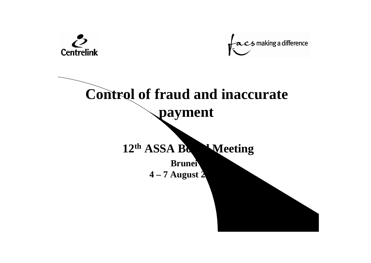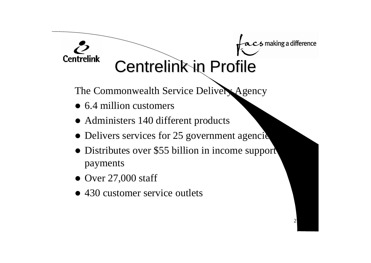#### acs making a difference

2

#### Ö **Centrelink**

Centrelink in Profile

The Commonwealth Service Delivery Agency

- $\bullet$  6.4 million customers
- Administers 140 different products
- Delivers services for 25 government agencies
- Distributes over \$55 billion in income support payments
- $\bullet$  Over 27,000 staff
- 430 customer service outlets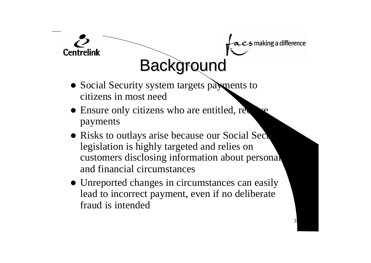

#### • Social Security system targets payments to citizens in most need

**Centrelink** 

- Ensure only citizens who are entitled, require payments
- Risks to outlays arise because our Social Security legislation is highly targeted and relies on customers disclosing information about personal and financial circumstances
- Unreported changes in circumstances can easily lead to incorrect payment, even if no deliberate fraud is intended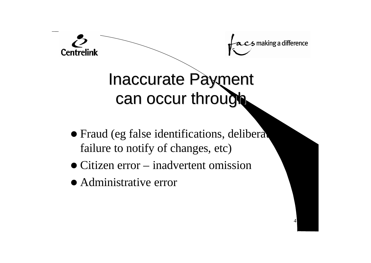

• Fraud (eg false identifications, deliberate failure to notify of changes, etc)

- Citizen error inadvertent omission
- Administrative error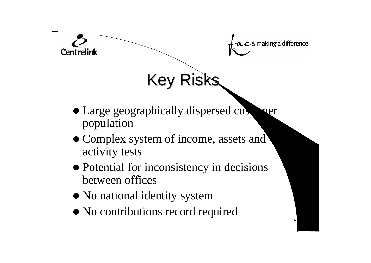

- Large geographically dispersed customer population
- Complex system of income, assets and activity tests
- Potential for inconsistency in decisions between offices

- No national identity system
- No contributions record required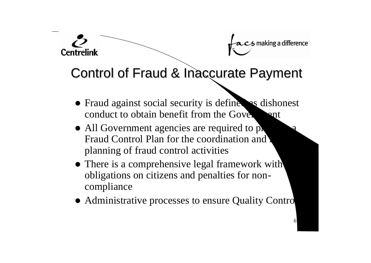# making a difference

6

#### Control of Fraud & Inaccurate Payment

- Fraud against social security is define as dishonest conduct to obtain benefit from the Government
- $\bullet$  All Government agencies are required to produce Fraud Control Plan for the coordination and planning of fraud control activities

- There is a comprehensive legal framework with obligations on citizens and penalties for noncompliance
- Administrative processes to ensure Quality Control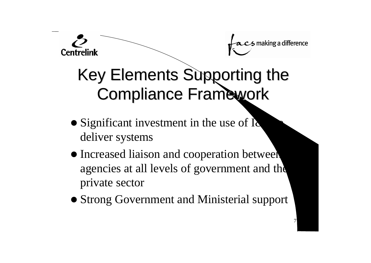# making a difference

7



### Key Elements Supporting the Compliance Framework

- $\bullet$  Significant investment in the use of I $\bullet$ deliver systems
- Increased liaison and cooperation between agencies at all levels of government and the private sector
- Strong Government and Ministerial support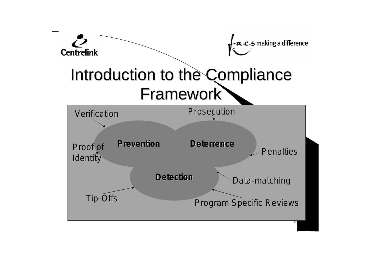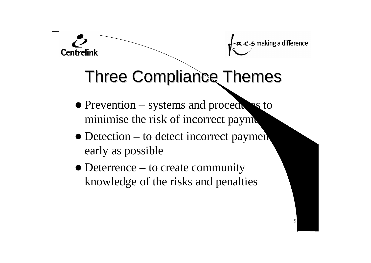

## Three Compliance Themes

 $\bullet$  Prevention – systems and procedures to minimise the risk of incorrect payment

- $\bullet$  Detection to detect incorrect payments early as possible
- $\bullet$  Deterrence to create community knowledge of the risks and penalties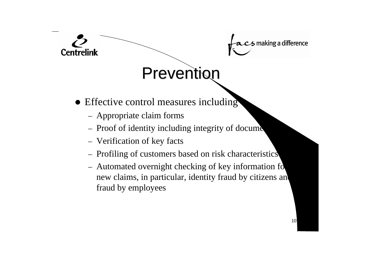

### Prevention

- Effective control measures including
	- Appropriate claim forms

- Proof of identity including integrity of docume
- Verification of key facts
- Profiling of customers based on risk characteristics
- Automated overnight checking of key information for new claims, in particular, identity fraud by citizens and fraud by employees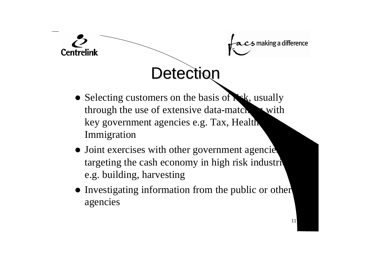

- Selecting customers on the basis of  $\mathbf{R}$ sk, usually through the use of extensive data-matching with key government agencies e.g. Tax, Health Immigration
- Joint exercises with other government agencies targeting the cash economy in high risk industri e.g. building, harvesting
- Investigating information from the public or other agencies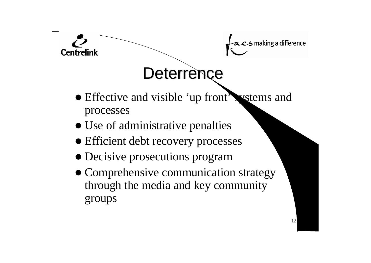

- Effective and visible 'up front' systems and processes
- Use of administrative penalties
- Efficient debt recovery processes
- Decisive prosecutions program
- Comprehensive communication strategy through the media and key community groups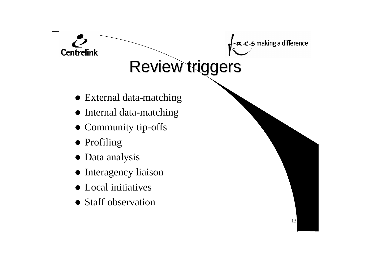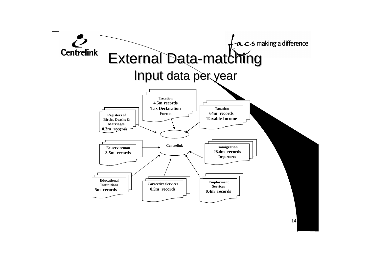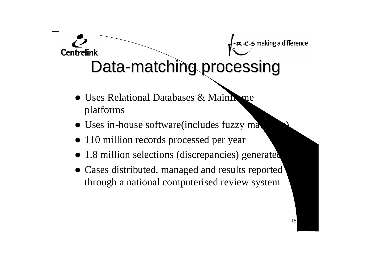### **Centrelink** Data-matching processing

- Uses Relational Databases & Mainhome platforms
- Uses in-house software(includes fuzzy mat
- 110 million records processed per year
- 1.8 million selections (discrepancies) generated
- Cases distributed, managed and results reported through a national computerised review system

15

making a difference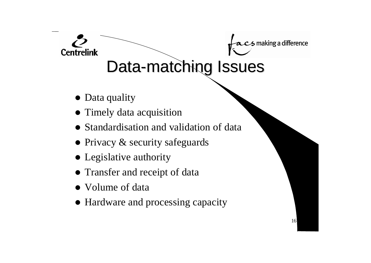## Data-matching Issues

16

5 making a difference

• Data quality

- Timely data acquisition
- Standardisation and validation of data
- $\bullet$  Privacy & security safeguards
- Legislative authority
- Transfer and receipt of data
- Volume of data
- Hardware and processing capacity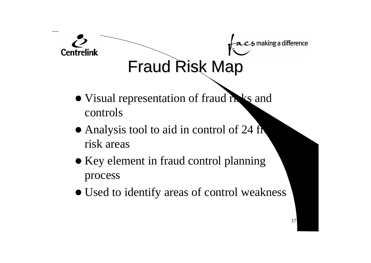

- Visual representation of fraud risks and controls
- Analysis tool to aid in control of 24 fr risk areas
- Key element in fraud control planning process
- Used to identify areas of control weakness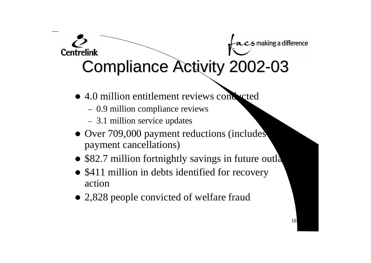#### S making a difference **Centrelink** Compliance Activity 2002-03

- 4.0 million entitlement reviews conducted
	- 0.9 million compliance reviews
	- 3.1 million service updates
- Over 709,000 payment reductions (includes payment cancellations)
- \$82.7 million fortnightly savings in future outla

- \$411 million in debts identified for recovery action
- 2,828 people convicted of welfare fraud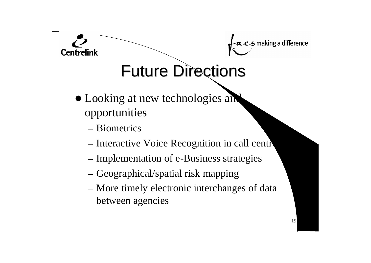

### Future Directions

- Looking at new technologies and opportunities
	- Biometrics

- Interactive Voice Recognition in call centre
- Implementation of e-Business strategies
- Geographical/spatial risk mapping
- More timely electronic interchanges of data between agencies